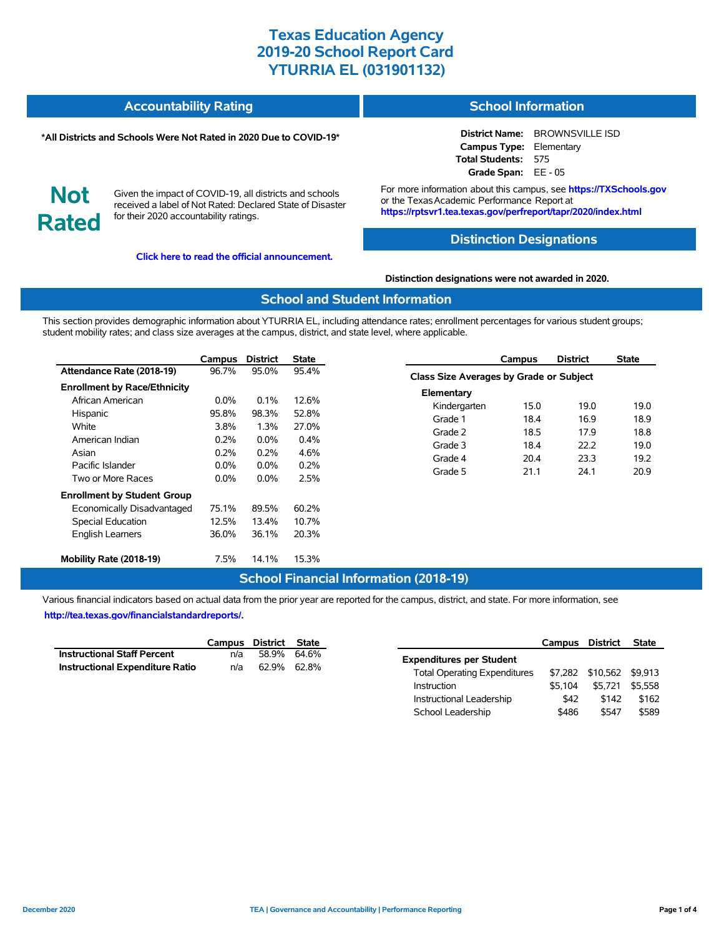| <b>Accountability Rating</b> | <b>School Information</b> |
|------------------------------|---------------------------|
|                              |                           |

#### **\*All Districts and Schools Were Not Rated in 2020 Due to COVID-19\***

**District Name:** BROWNSVILLE ISD **Campus Type:** Elementary **Total Students:** 575 **Grade Span:** EE - 05

**Not Rated**

Given the impact of COVID-19, all districts and schools received a label of Not Rated: Declared State of Disaster for their 2020 accountability ratings.

**[Click here to read the official announcement.](https://tea.texas.gov/about-tea/news-and-multimedia/correspondence/taa-letters/every-student-succeeds-act-essa-waiver-approval-2020-state-academic-accountability)**

For more information about this campus, see **https://TXSchools.gov** or the Texas Academic Performance Report at **https://rptsvr1.tea.texas.gov/perfreport/tapr/2020/index.html**

### **Distinction Designations**

**Distinction designations were not awarded in 2020.**

#### **School and Student Information**

This section provides demographic information about YTURRIA EL, including attendance rates; enrollment percentages for various student groups; student mobility rates; and class size averages at the campus, district, and state level, where applicable.

|                                     | Campus  | <b>District</b> | <b>State</b> |
|-------------------------------------|---------|-----------------|--------------|
| Attendance Rate (2018-19)           | 96.7%   | 95.0%           | 95.4%        |
| <b>Enrollment by Race/Ethnicity</b> |         |                 |              |
| African American                    | $0.0\%$ | 0.1%            | 12.6%        |
| Hispanic                            | 95.8%   | 98.3%           | 52.8%        |
| White                               | 3.8%    | 1.3%            | 27.0%        |
| American Indian                     | 0.2%    | $0.0\%$         | $0.4\%$      |
| Asian                               | 0.2%    | 0.2%            | 4.6%         |
| Pacific Islander                    | $0.0\%$ | $0.0\%$         | 0.2%         |
| Two or More Races                   | $0.0\%$ | $0.0\%$         | 2.5%         |
| <b>Enrollment by Student Group</b>  |         |                 |              |
| Economically Disadvantaged          | 75.1%   | 89.5%           | 60.2%        |
| Special Education                   | 12.5%   | 13.4%           | 10.7%        |
| <b>English Learners</b>             | 36.0%   | 36.1%           | 20.3%        |
| Mobility Rate (2018-19)             | 7.5%    | 14.1%           | 15.3%        |

|                                                | Campus | <b>District</b> | <b>State</b> |
|------------------------------------------------|--------|-----------------|--------------|
| <b>Class Size Averages by Grade or Subject</b> |        |                 |              |
| Elementary                                     |        |                 |              |
| Kindergarten                                   | 15.0   | 19.0            | 19.0         |
| Grade 1                                        | 18.4   | 16.9            | 18.9         |
| Grade 2                                        | 18.5   | 17.9            | 18.8         |
| Grade 3                                        | 18.4   | 22.2            | 19.0         |
| Grade 4                                        | 20.4   | 23.3            | 19.2         |
| Grade 5                                        | 21.1   | 24.1            | 20.9         |

## **School Financial Information (2018-19)**

Various financial indicators based on actual data from the prior year are reported for the campus, district, and state. For more information, see **[http://tea.texas.gov/financialstandardreports/.](http://tea.texas.gov/financialstandardreports/)**

|                                        | Campus District State |             |  |
|----------------------------------------|-----------------------|-------------|--|
| <b>Instructional Staff Percent</b>     | n/a                   | 58.9% 64.6% |  |
| <b>Instructional Expenditure Ratio</b> | n/a                   | 62.9% 62.8% |  |

|                                     | Campus District |                  | <b>State</b> |
|-------------------------------------|-----------------|------------------|--------------|
| <b>Expenditures per Student</b>     |                 |                  |              |
| <b>Total Operating Expenditures</b> |                 | \$7.282 \$10.562 | \$9.913      |
| Instruction                         | \$5.104         | \$5.721          | \$5.558      |
| Instructional Leadership            | \$42            | \$142            | \$162        |
| School Leadership                   | \$486           | \$547            | \$589        |

Ĭ.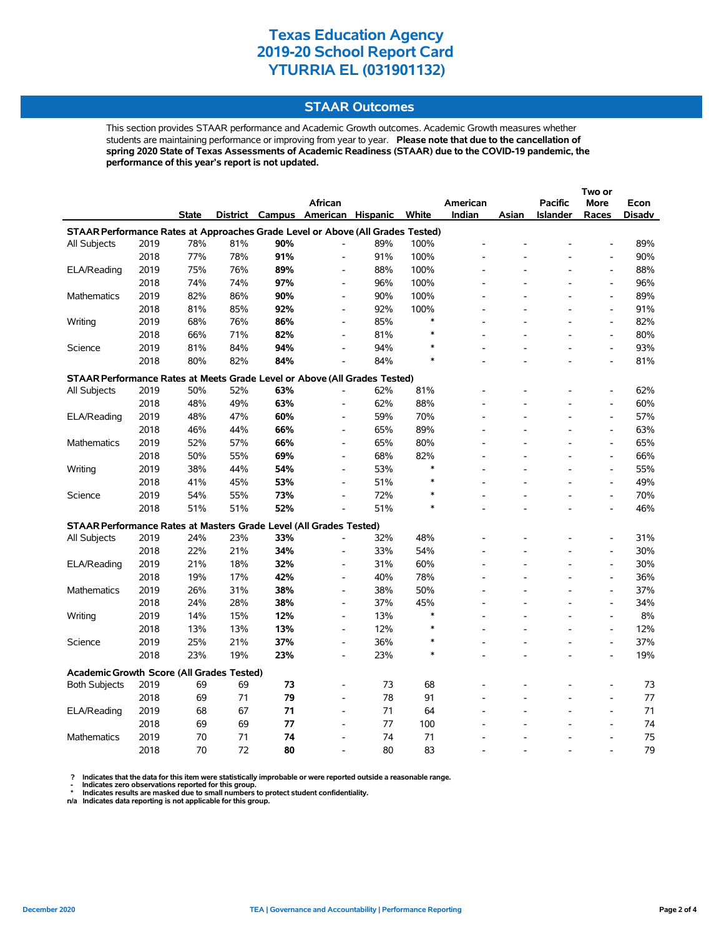## **STAAR Outcomes**

This section provides STAAR performance and Academic Growth outcomes. Academic Growth measures whether students are maintaining performance or improving from year to year. **Please note that due to the cancellation of spring 2020 State of Texas Assessments of Academic Readiness (STAAR) due to the COVID-19 pandemic, the performance of this year's report is not updated.**

|                                                                                    |      |              |     |     |                                   |     |        |          |       |                | Two or                       |        |
|------------------------------------------------------------------------------------|------|--------------|-----|-----|-----------------------------------|-----|--------|----------|-------|----------------|------------------------------|--------|
|                                                                                    |      |              |     |     | <b>African</b>                    |     |        | American |       | <b>Pacific</b> | <b>More</b>                  | Econ   |
|                                                                                    |      | <b>State</b> |     |     | District Campus American Hispanic |     | White  | Indian   | Asian | Islander       | Races                        | Disadv |
| STAAR Performance Rates at Approaches Grade Level or Above (All Grades Tested)     |      |              |     |     |                                   |     |        |          |       |                |                              |        |
| All Subjects                                                                       | 2019 | 78%          | 81% | 90% | L,                                | 89% | 100%   |          |       |                |                              | 89%    |
|                                                                                    | 2018 | 77%          | 78% | 91% | $\frac{1}{2}$                     | 91% | 100%   |          |       |                | $\qquad \qquad \blacksquare$ | 90%    |
| ELA/Reading                                                                        | 2019 | 75%          | 76% | 89% |                                   | 88% | 100%   |          |       |                | $\overline{a}$               | 88%    |
|                                                                                    | 2018 | 74%          | 74% | 97% | L,                                | 96% | 100%   |          |       |                | $\overline{a}$               | 96%    |
| Mathematics                                                                        | 2019 | 82%          | 86% | 90% | $\overline{\phantom{a}}$          | 90% | 100%   |          |       |                | $\qquad \qquad \blacksquare$ | 89%    |
|                                                                                    | 2018 | 81%          | 85% | 92% | $\qquad \qquad \blacksquare$      | 92% | 100%   |          |       |                | $\overline{a}$               | 91%    |
| Writing                                                                            | 2019 | 68%          | 76% | 86% | L,                                | 85% | $\ast$ |          |       |                | $\overline{a}$               | 82%    |
|                                                                                    | 2018 | 66%          | 71% | 82% | L,                                | 81% | $\ast$ |          |       |                | $\overline{a}$               | 80%    |
| Science                                                                            | 2019 | 81%          | 84% | 94% | $\overline{a}$                    | 94% |        |          |       |                | $\qquad \qquad \blacksquare$ | 93%    |
|                                                                                    | 2018 | 80%          | 82% | 84% |                                   | 84% |        |          |       |                | $\overline{a}$               | 81%    |
| STAAR Performance Rates at Meets Grade Level or Above (All Grades Tested)          |      |              |     |     |                                   |     |        |          |       |                |                              |        |
| All Subjects                                                                       | 2019 | 50%          | 52% | 63% |                                   | 62% | 81%    |          |       |                | $\overline{\phantom{a}}$     | 62%    |
|                                                                                    | 2018 | 48%          | 49% | 63% | $\overline{a}$                    | 62% | 88%    |          |       |                | $\overline{a}$               | 60%    |
| ELA/Reading                                                                        | 2019 | 48%          | 47% | 60% | $\overline{\phantom{a}}$          | 59% | 70%    |          |       |                | $\overline{\phantom{a}}$     | 57%    |
|                                                                                    | 2018 | 46%          | 44% | 66% | $\overline{a}$                    | 65% | 89%    |          |       |                | L,                           | 63%    |
| Mathematics                                                                        | 2019 | 52%          | 57% | 66% | $\overline{a}$                    | 65% | 80%    |          |       |                | $\overline{\phantom{a}}$     | 65%    |
|                                                                                    | 2018 | 50%          | 55% | 69% | $\overline{a}$                    | 68% | 82%    |          |       |                | $\overline{\phantom{a}}$     | 66%    |
| Writing                                                                            | 2019 | 38%          | 44% | 54% | $\overline{\phantom{a}}$          | 53% | $\ast$ |          |       |                | $\overline{a}$               | 55%    |
|                                                                                    | 2018 | 41%          | 45% | 53% | $\overline{\phantom{a}}$          | 51% | $\ast$ |          |       |                | $\overline{a}$               | 49%    |
| Science                                                                            | 2019 | 54%          | 55% | 73% | $\overline{a}$                    | 72% | $\ast$ |          |       |                | $\overline{a}$               | 70%    |
|                                                                                    | 2018 | 51%          | 51% | 52% | L,                                | 51% | $\ast$ |          |       |                | $\overline{a}$               | 46%    |
|                                                                                    |      |              |     |     |                                   |     |        |          |       |                |                              |        |
| STAAR Performance Rates at Masters Grade Level (All Grades Tested)<br>All Subjects | 2019 | 24%          | 23% | 33% |                                   | 32% | 48%    |          |       |                | $\overline{a}$               | 31%    |
|                                                                                    | 2018 | 22%          | 21% | 34% | $\overline{\phantom{a}}$          | 33% | 54%    |          |       |                | $\overline{\phantom{a}}$     | 30%    |
| ELA/Reading                                                                        | 2019 | 21%          | 18% | 32% | $\overline{a}$                    | 31% | 60%    |          |       |                | $\overline{a}$               | 30%    |
|                                                                                    | 2018 | 19%          | 17% | 42% | $\frac{1}{2}$                     | 40% | 78%    |          |       |                | $\qquad \qquad \blacksquare$ | 36%    |
| Mathematics                                                                        | 2019 | 26%          | 31% | 38% | $\overline{a}$                    | 38% | 50%    |          |       |                | L,                           | 37%    |
|                                                                                    | 2018 | 24%          | 28% | 38% | $\overline{\phantom{a}}$          | 37% | 45%    |          |       |                | $\overline{a}$               | 34%    |
| Writing                                                                            | 2019 | 14%          | 15% | 12% | $\qquad \qquad \blacksquare$      | 13% | $\ast$ |          |       |                | $\qquad \qquad \blacksquare$ | 8%     |
|                                                                                    | 2018 | 13%          | 13% | 13% | $\overline{a}$                    | 12% |        |          |       |                | $\qquad \qquad \blacksquare$ | 12%    |
| Science                                                                            | 2019 | 25%          | 21% | 37% | $\overline{\phantom{a}}$          | 36% | $\ast$ |          |       |                | $\overline{a}$               | 37%    |
|                                                                                    | 2018 | 23%          | 19% | 23% | $\overline{a}$                    | 23% | $\ast$ |          |       |                | $\overline{a}$               | 19%    |
|                                                                                    |      |              |     |     |                                   |     |        |          |       |                |                              |        |
| <b>Academic Growth Score (All Grades Tested)</b>                                   |      |              |     |     |                                   |     |        |          |       |                |                              |        |
| <b>Both Subjects</b>                                                               | 2019 | 69           | 69  | 73  |                                   | 73  | 68     |          |       |                |                              | 73     |
|                                                                                    | 2018 | 69           | 71  | 79  | $\overline{a}$                    | 78  | 91     |          |       |                | $\overline{a}$               | 77     |
| ELA/Reading                                                                        | 2019 | 68           | 67  | 71  | $\overline{a}$                    | 71  | 64     |          |       |                | $\overline{a}$               | 71     |
|                                                                                    | 2018 | 69           | 69  | 77  |                                   | 77  | 100    |          |       |                | L,                           | 74     |
| <b>Mathematics</b>                                                                 | 2019 | 70           | 71  | 74  |                                   | 74  | 71     |          |       |                | $\overline{a}$               | 75     |
|                                                                                    | 2018 | 70           | 72  | 80  |                                   | 80  | 83     |          |       |                |                              | 79     |

? Indicates that the data for this item were statistically improbable or were reported outside a reasonable range.<br>- Indicates zero observations reported for this group.<br>\* Indicates results are masked due to small numbers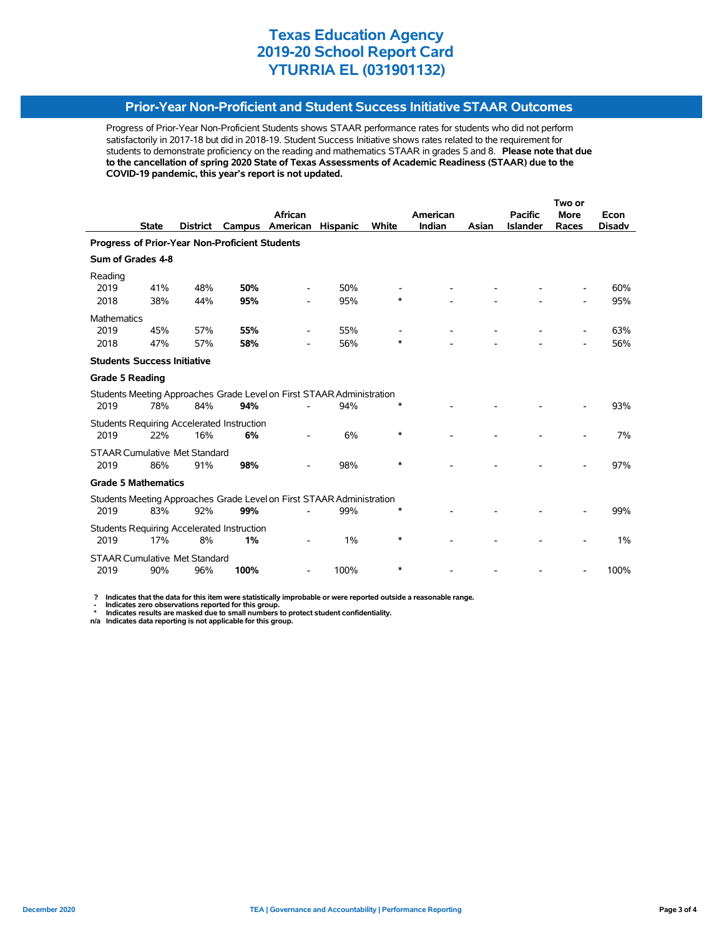## **Prior-Year Non-Proficient and Student Success Initiative STAAR Outcomes**

Progress of Prior-Year Non-Proficient Students shows STAAR performance rates for students who did not perform satisfactorily in 2017-18 but did in 2018-19. Student Success Initiative shows rates related to the requirement for students to demonstrate proficiency on the reading and mathematics STAAR in grades 5 and 8. **Please note that due to the cancellation of spring 2020 State of Texas Assessments of Academic Readiness (STAAR) due to the COVID-19 pandemic, this year's report is not updated.**

|                                                |              |                 |                                            |                                                                       |                 |        |          | Two or |                 |             |        |
|------------------------------------------------|--------------|-----------------|--------------------------------------------|-----------------------------------------------------------------------|-----------------|--------|----------|--------|-----------------|-------------|--------|
|                                                |              |                 |                                            | African                                                               |                 |        | American |        | <b>Pacific</b>  | <b>More</b> | Econ   |
|                                                | <b>State</b> | <b>District</b> | Campus                                     | American                                                              | <b>Hispanic</b> | White  | Indian   | Asian  | <b>Islander</b> | Races       | Disadv |
| Progress of Prior-Year Non-Proficient Students |              |                 |                                            |                                                                       |                 |        |          |        |                 |             |        |
| Sum of Grades 4-8                              |              |                 |                                            |                                                                       |                 |        |          |        |                 |             |        |
| Reading                                        |              |                 |                                            |                                                                       |                 |        |          |        |                 |             |        |
| 2019                                           | 41%          | 48%             | 50%                                        |                                                                       | 50%             |        |          |        |                 |             | 60%    |
| 2018                                           | 38%          | 44%             | 95%                                        |                                                                       | 95%             | *      |          |        |                 |             | 95%    |
| <b>Mathematics</b>                             |              |                 |                                            |                                                                       |                 |        |          |        |                 |             |        |
| 2019                                           | 45%          | 57%             | 55%                                        |                                                                       | 55%             |        |          |        |                 |             | 63%    |
| 2018                                           | 47%          | 57%             | 58%                                        |                                                                       | 56%             | ∗      |          |        |                 |             | 56%    |
| <b>Students Success Initiative</b>             |              |                 |                                            |                                                                       |                 |        |          |        |                 |             |        |
| <b>Grade 5 Reading</b>                         |              |                 |                                            |                                                                       |                 |        |          |        |                 |             |        |
|                                                |              |                 |                                            | Students Meeting Approaches Grade Level on First STAAR Administration |                 |        |          |        |                 |             |        |
| 2019                                           | 78%          | 84%             | 94%                                        |                                                                       | 94%             |        |          |        |                 |             | 93%    |
|                                                |              |                 | Students Requiring Accelerated Instruction |                                                                       |                 |        |          |        |                 |             |        |
| 2019                                           | 22%          | 16%             | 6%                                         |                                                                       | 6%              | *      |          |        |                 |             | 7%     |
|                                                |              |                 |                                            |                                                                       |                 |        |          |        |                 |             |        |
| <b>STAAR Cumulative Met Standard</b><br>2019   | 86%          | 91%             | 98%                                        |                                                                       | 98%             | *      |          |        |                 |             | 97%    |
|                                                |              |                 |                                            |                                                                       |                 |        |          |        |                 |             |        |
| <b>Grade 5 Mathematics</b>                     |              |                 |                                            |                                                                       |                 |        |          |        |                 |             |        |
|                                                |              |                 |                                            | Students Meeting Approaches Grade Level on First STAAR Administration |                 |        |          |        |                 |             |        |
| 2019                                           | 83%          | 92%             | 99%                                        |                                                                       | 99%             | ∗      |          |        |                 |             | 99%    |
|                                                |              |                 | Students Requiring Accelerated Instruction |                                                                       |                 |        |          |        |                 |             |        |
| 2019                                           | 17%          | 8%              | 1%                                         |                                                                       | 1%              | $\ast$ |          |        |                 |             | 1%     |
| <b>STAAR Cumulative Met Standard</b>           |              |                 |                                            |                                                                       |                 |        |          |        |                 |             |        |
| 2019                                           | 90%          | 96%             | 100%                                       |                                                                       | 100%            | *      |          |        |                 |             | 100%   |
|                                                |              |                 |                                            |                                                                       |                 |        |          |        |                 |             |        |

 **? Indicates that the data for this item were statistically improbable or were reported outside a reasonable range.**

 **- Indicates zero observations reported for this group. \* Indicates results are masked due to small numbers to protect student confidentiality.**

**n/a Indicates data reporting is not applicable for this group.**